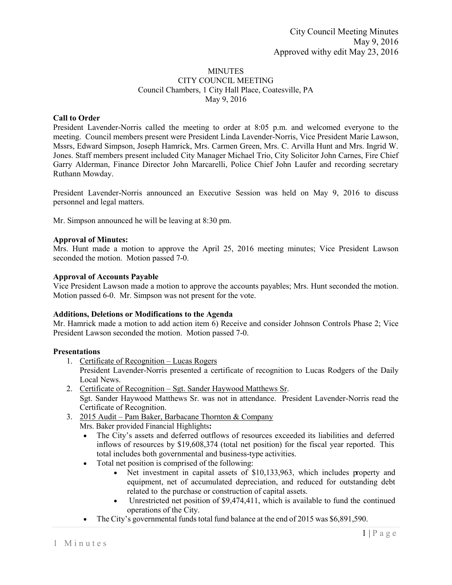# **MINUTES** CITY COUNCIL MEETING Council Chambers, 1 City Hall Place, Coatesville, PA May 9, 2016

# **Call to Order**

President Lavender-Norris called the meeting to order at 8:05 p.m. and welcomed everyone to the meeting. Council members present were President Linda Lavender-Norris, Vice President Marie Lawson, Mssrs, Edward Simpson, Joseph Hamrick, Mrs. Carmen Green, Mrs. C. Arvilla Hunt and Mrs. Ingrid W. Jones. Staff members present included City Manager Michael Trio, City Solicitor John Carnes, Fire Chief Garry Alderman, Finance Director John Marcarelli, Police Chief John Laufer and recording secretary Ruthann Mowday.

President Lavender-Norris announced an Executive Session was held on May 9, 2016 to discuss personnel and legal matters.

Mr. Simpson announced he will be leaving at 8:30 pm.

# **Approval of Minutes:**

Mrs. Hunt made a motion to approve the April 25, 2016 meeting minutes; Vice President Lawson seconded the motion. Motion passed 7-0.

## **Approval of Accounts Payable**

Vice President Lawson made a motion to approve the accounts payables; Mrs. Hunt seconded the motion. Motion passed 6-0. Mr. Simpson was not present for the vote.

#### **Additions, Deletions or Modifications to the Agenda**

Mr. Hamrick made a motion to add action item 6) Receive and consider Johnson Controls Phase 2; Vice President Lawson seconded the motion. Motion passed 7-0.

# **Presentations**

- 1. Certificate of Recognition Lucas Rogers
	- President Lavender-Norris presented a certificate of recognition to Lucas Rodgers of the Daily Local News.
- 2. Certificate of Recognition Sgt. Sander Haywood Matthews Sr. Sgt. Sander Haywood Matthews Sr. was not in attendance. President Lavender-Norris read the Certificate of Recognition.
- 3. 2015 Audit Pam Baker, Barbacane Thornton & Company Mrs. Baker provided Financial Highlights**:**
	- The City's assets and deferred outflows of resources exceeded its liabilities and deferred inflows of resources by \$19,608,374 (total net position) for the fiscal year reported. This total includes both governmental and business-type activities.
	- Total net position is comprised of the following:
		- Net investment in capital assets of \$10,133,963, which includes property and equipment, net of accumulated depreciation, and reduced for outstanding debt related to the purchase or construction of capital assets.
		- Unrestricted net position of \$9,474,411, which is available to fund the continued operations of the City.
	- The City's governmental funds total fund balance at the end of 2015 was \$6,891,590.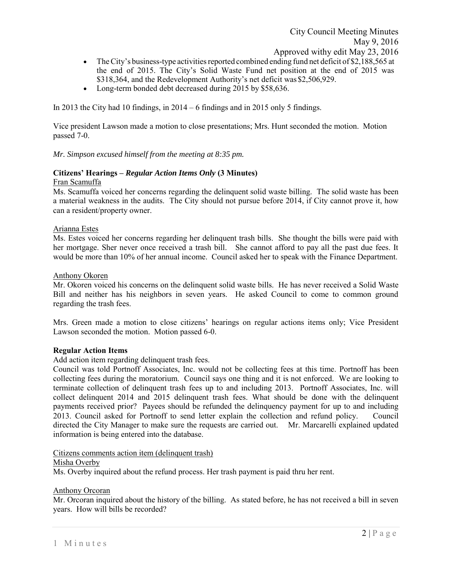- The City's business-type activities reported combined ending fund net deficit of \$2,188,565 at the end of 2015. The City's Solid Waste Fund net position at the end of 2015 was \$318,364, and the Redevelopment Authority's net deficit was \$2,506,929.
- Long-term bonded debt decreased during 2015 by \$58,636.

In 2013 the City had 10 findings, in 2014 – 6 findings and in 2015 only 5 findings.

Vice president Lawson made a motion to close presentations; Mrs. Hunt seconded the motion. Motion passed 7-0.

*Mr. Simpson excused himself from the meeting at 8:35 pm.* 

# **Citizens' Hearings –** *Regular Action Items Only* **(3 Minutes)**

# Fran Scamuffa

Ms. Scamuffa voiced her concerns regarding the delinquent solid waste billing. The solid waste has been a material weakness in the audits. The City should not pursue before 2014, if City cannot prove it, how can a resident/property owner.

# Arianna Estes

Ms. Estes voiced her concerns regarding her delinquent trash bills. She thought the bills were paid with her mortgage. Sher never once received a trash bill. She cannot afford to pay all the past due fees. It would be more than 10% of her annual income. Council asked her to speak with the Finance Department.

## Anthony Okoren

Mr. Okoren voiced his concerns on the delinquent solid waste bills. He has never received a Solid Waste Bill and neither has his neighbors in seven years. He asked Council to come to common ground regarding the trash fees.

Mrs. Green made a motion to close citizens' hearings on regular actions items only; Vice President Lawson seconded the motion. Motion passed 6-0.

# **Regular Action Items**

Add action item regarding delinquent trash fees.

Council was told Portnoff Associates, Inc. would not be collecting fees at this time. Portnoff has been collecting fees during the moratorium. Council says one thing and it is not enforced. We are looking to terminate collection of delinquent trash fees up to and including 2013. Portnoff Associates, Inc. will collect delinquent 2014 and 2015 delinquent trash fees. What should be done with the delinquent payments received prior? Payees should be refunded the delinquency payment for up to and including 2013. Council asked for Portnoff to send letter explain the collection and refund policy. Council directed the City Manager to make sure the requests are carried out. Mr. Marcarelli explained updated information is being entered into the database.

# Citizens comments action item (delinquent trash)

#### Misha Overby

Ms. Overby inquired about the refund process. Her trash payment is paid thru her rent.

# Anthony Orcoran

Mr. Orcoran inquired about the history of the billing. As stated before, he has not received a bill in seven years. How will bills be recorded?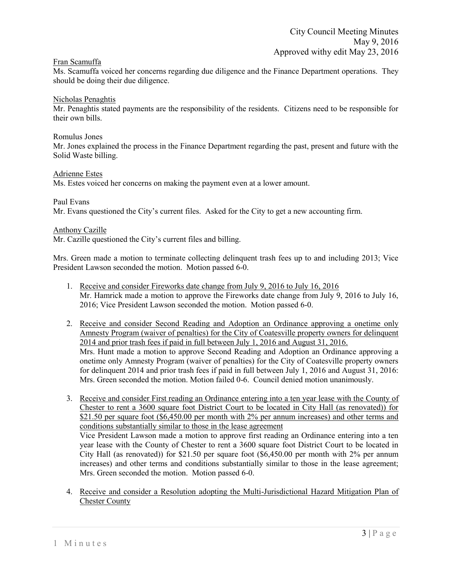# Fran Scamuffa

Ms. Scamuffa voiced her concerns regarding due diligence and the Finance Department operations. They should be doing their due diligence.

## Nicholas Penaghtis

Mr. Penaghtis stated payments are the responsibility of the residents. Citizens need to be responsible for their own bills.

#### Romulus Jones

Mr. Jones explained the process in the Finance Department regarding the past, present and future with the Solid Waste billing.

## Adrienne Estes

Ms. Estes voiced her concerns on making the payment even at a lower amount.

#### Paul Evans

Mr. Evans questioned the City's current files. Asked for the City to get a new accounting firm.

## Anthony Cazille

Mr. Cazille questioned the City's current files and billing.

Mrs. Green made a motion to terminate collecting delinquent trash fees up to and including 2013; Vice President Lawson seconded the motion. Motion passed 6-0.

- 1. Receive and consider Fireworks date change from July 9, 2016 to July 16, 2016 Mr. Hamrick made a motion to approve the Fireworks date change from July 9, 2016 to July 16, 2016; Vice President Lawson seconded the motion. Motion passed 6-0.
- 2. Receive and consider Second Reading and Adoption an Ordinance approving a onetime only Amnesty Program (waiver of penalties) for the City of Coatesville property owners for delinquent 2014 and prior trash fees if paid in full between July 1, 2016 and August 31, 2016. Mrs. Hunt made a motion to approve Second Reading and Adoption an Ordinance approving a onetime only Amnesty Program (waiver of penalties) for the City of Coatesville property owners for delinquent 2014 and prior trash fees if paid in full between July 1, 2016 and August 31, 2016: Mrs. Green seconded the motion. Motion failed 0-6. Council denied motion unanimously.
- 3. Receive and consider First reading an Ordinance entering into a ten year lease with the County of Chester to rent a 3600 square foot District Court to be located in City Hall (as renovated)) for \$21.50 per square foot (\$6,450.00 per month with 2% per annum increases) and other terms and conditions substantially similar to those in the lease agreement Vice President Lawson made a motion to approve first reading an Ordinance entering into a ten year lease with the County of Chester to rent a 3600 square foot District Court to be located in City Hall (as renovated)) for \$21.50 per square foot (\$6,450.00 per month with 2% per annum increases) and other terms and conditions substantially similar to those in the lease agreement; Mrs. Green seconded the motion. Motion passed 6-0.
- 4. Receive and consider a Resolution adopting the Multi-Jurisdictional Hazard Mitigation Plan of Chester County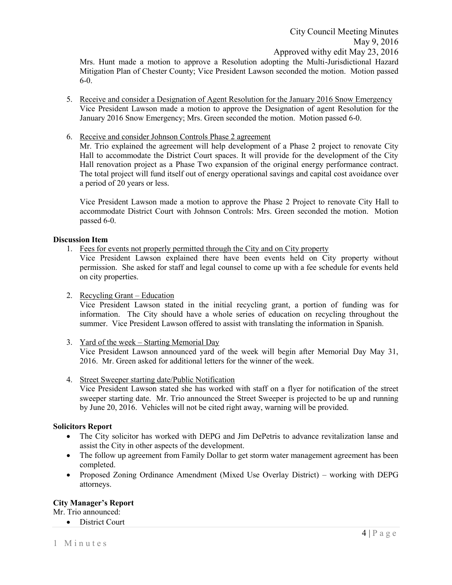Mrs. Hunt made a motion to approve a Resolution adopting the Multi-Jurisdictional Hazard Mitigation Plan of Chester County; Vice President Lawson seconded the motion. Motion passed 6-0.

- 5. Receive and consider a Designation of Agent Resolution for the January 2016 Snow Emergency Vice President Lawson made a motion to approve the Designation of agent Resolution for the January 2016 Snow Emergency; Mrs. Green seconded the motion. Motion passed 6-0.
- 6. Receive and consider Johnson Controls Phase 2 agreement

Mr. Trio explained the agreement will help development of a Phase 2 project to renovate City Hall to accommodate the District Court spaces. It will provide for the development of the City Hall renovation project as a Phase Two expansion of the original energy performance contract. The total project will fund itself out of energy operational savings and capital cost avoidance over a period of 20 years or less.

Vice President Lawson made a motion to approve the Phase 2 Project to renovate City Hall to accommodate District Court with Johnson Controls: Mrs. Green seconded the motion. Motion passed 6-0.

# **Discussion Item**

1. Fees for events not properly permitted through the City and on City property

Vice President Lawson explained there have been events held on City property without permission. She asked for staff and legal counsel to come up with a fee schedule for events held on city properties.

2. Recycling Grant – Education

Vice President Lawson stated in the initial recycling grant, a portion of funding was for information. The City should have a whole series of education on recycling throughout the summer. Vice President Lawson offered to assist with translating the information in Spanish.

- 3. Yard of the week Starting Memorial Day Vice President Lawson announced yard of the week will begin after Memorial Day May 31, 2016. Mr. Green asked for additional letters for the winner of the week.
- 4. Street Sweeper starting date/Public Notification Vice President Lawson stated she has worked with staff on a flyer for notification of the street sweeper starting date. Mr. Trio announced the Street Sweeper is projected to be up and running by June 20, 2016. Vehicles will not be cited right away, warning will be provided.

# **Solicitors Report**

- The City solicitor has worked with DEPG and Jim DePetris to advance revitalization lanse and assist the City in other aspects of the development.
- The follow up agreement from Family Dollar to get storm water management agreement has been completed.
- Proposed Zoning Ordinance Amendment (Mixed Use Overlay District) working with DEPG attorneys.

# **City Manager's Report**

Mr. Trio announced:

• District Court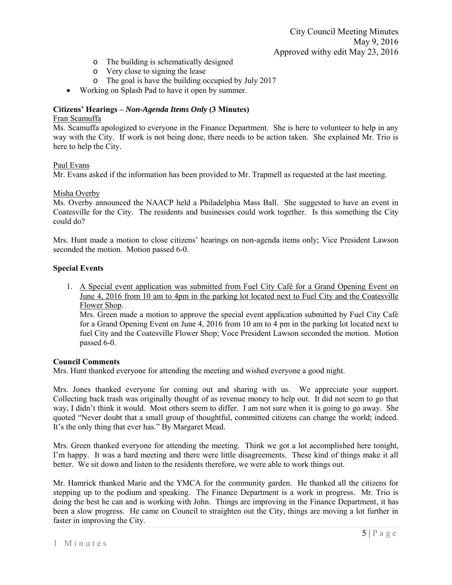- o The building is schematically designed
- o Very close to signing the lease
- o The goal is have the building occupied by July 2017
- Working on Splash Pad to have it open by summer.

# **Citizens' Hearings –** *Non-Agenda Items Only* **(3 Minutes)**

# Fran Scamuffa

Ms. Scamuffa apologized to everyone in the Finance Department. She is here to volunteer to help in any way with the City. If work is not being done, there needs to be action taken. She explained Mr. Trio is here to help the City.

## Paul Evans

Mr. Evans asked if the information has been provided to Mr. Trapmell as requested at the last meeting.

## Misha Overby

Ms. Overby announced the NAACP held a Philadelphia Mass Ball. She suggested to have an event in Coatesville for the City. The residents and businesses could work together. Is this something the City could do?

Mrs. Hunt made a motion to close citizens' hearings on non-agenda items only; Vice President Lawson seconded the motion. Motion passed 6-0.

## **Special Events**

1. A Special event application was submitted from Fuel City Café for a Grand Opening Event on June 4, 2016 from 10 am to 4pm in the parking lot located next to Fuel City and the Coatesville Flower Shop.

Mrs. Green made a motion to approve the special event application submitted by Fuel City Café for a Grand Opening Event on June 4, 2016 from 10 am to 4 pm in the parking lot located next to fuel City and the Coatesville Flower Shop; Voce President Lawson seconded the motion. Motion passed 6-0.

# **Council Comments**

Mrs. Hunt thanked everyone for attending the meeting and wished everyone a good night.

Mrs. Jones thanked everyone for coming out and sharing with us. We appreciate your support. Collecting back trash was originally thought of as revenue money to help out. It did not seem to go that way, I didn't think it would. Most others seem to differ. I am not sure when it is going to go away. She quoted "Never doubt that a small group of thoughtful, committed citizens can change the world; indeed. It's the only thing that ever has." By Margaret Mead.

Mrs. Green thanked everyone for attending the meeting. Think we got a lot accomplished here tonight, I'm happy. It was a hard meeting and there were little disagreements. These kind of things make it all better. We sit down and listen to the residents therefore, we were able to work things out.

Mr. Hamrick thanked Marie and the YMCA for the community garden. He thanked all the citizens for stepping up to the podium and speaking. The Finance Department is a work in progress. Mr. Trio is doing the best he can and is working with John. Things are improving in the Finance Department, it has been a slow progress. He came on Council to straighten out the City, things are moving a lot further in faster in improving the City.